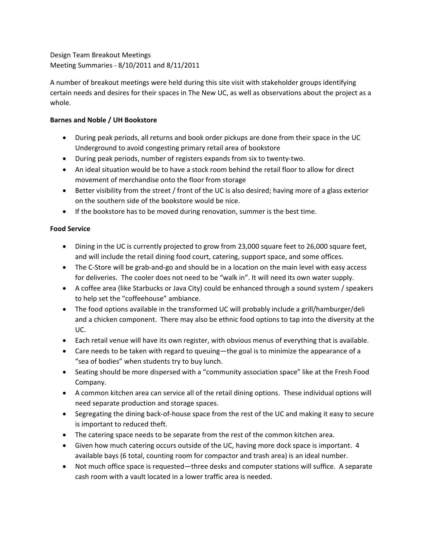Design Team Breakout Meetings Meeting Summaries ‐ 8/10/2011 and 8/11/2011

A number of breakout meetings were held during this site visit with stakeholder groups identifying certain needs and desires for their spaces in The New UC, as well as observations about the project as a whole.

## **Barnes and Noble / UH Bookstore**

- During peak periods, all returns and book order pickups are done from their space in the UC Underground to avoid congesting primary retail area of bookstore
- During peak periods, number of registers expands from six to twenty-two.
- An ideal situation would be to have a stock room behind the retail floor to allow for direct movement of merchandise onto the floor from storage
- Better visibility from the street / front of the UC is also desired; having more of a glass exterior on the southern side of the bookstore would be nice.
- If the bookstore has to be moved during renovation, summer is the best time.

# **Food Service**

- Dining in the UC is currently projected to grow from 23,000 square feet to 26,000 square feet, and will include the retail dining food court, catering, support space, and some offices.
- The C-Store will be grab-and-go and should be in a location on the main level with easy access for deliveries. The cooler does not need to be "walk in". It will need its own water supply.
- A coffee area (like Starbucks or Java City) could be enhanced through a sound system / speakers to help set the "coffeehouse" ambiance.
- The food options available in the transformed UC will probably include a grill/hamburger/deli and a chicken component. There may also be ethnic food options to tap into the diversity at the UC.
- Each retail venue will have its own register, with obvious menus of everything that is available.
- Care needs to be taken with regard to queuing—the goal is to minimize the appearance of a "sea of bodies" when students try to buy lunch.
- Seating should be more dispersed with a "community association space" like at the Fresh Food Company.
- A common kitchen area can service all of the retail dining options. These individual options will need separate production and storage spaces.
- Segregating the dining back-of-house space from the rest of the UC and making it easy to secure is important to reduced theft.
- The catering space needs to be separate from the rest of the common kitchen area.
- Given how much catering occurs outside of the UC, having more dock space is important. 4 available bays (6 total, counting room for compactor and trash area) is an ideal number.
- Not much office space is requested—three desks and computer stations will suffice. A separate cash room with a vault located in a lower traffic area is needed.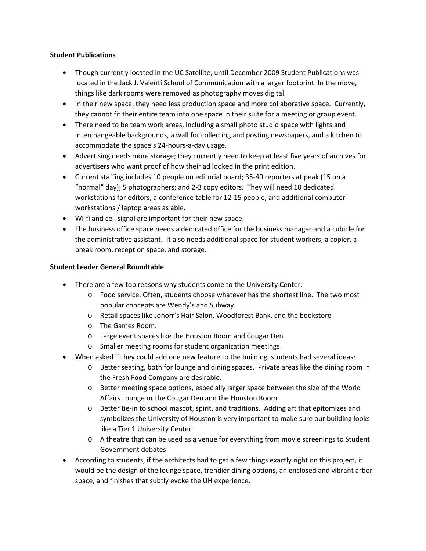#### **Student Publications**

- Though currently located in the UC Satellite, until December 2009 Student Publications was located in the Jack J. Valenti School of Communication with a larger footprint. In the move, things like dark rooms were removed as photography moves digital.
- In their new space, they need less production space and more collaborative space. Currently, they cannot fit their entire team into one space in their suite for a meeting or group event.
- There need to be team work areas, including a small photo studio space with lights and interchangeable backgrounds, a wall for collecting and posting newspapers, and a kitchen to accommodate the space's 24‐hours‐a‐day usage.
- Advertising needs more storage; they currently need to keep at least five years of archives for advertisers who want proof of how their ad looked in the print edition.
- Current staffing includes 10 people on editorial board; 35‐40 reporters at peak (15 on a "normal" day); 5 photographers; and 2‐3 copy editors. They will need 10 dedicated workstations for editors, a conference table for 12‐15 people, and additional computer workstations / laptop areas as able.
- Wi‐fi and cell signal are important for their new space.
- The business office space needs a dedicated office for the business manager and a cubicle for the administrative assistant. It also needs additional space for student workers, a copier, a break room, reception space, and storage.

### **Student Leader General Roundtable**

- There are a few top reasons why students come to the University Center:
	- o Food service. Often, students choose whatever has the shortest line. The two most popular concepts are Wendy's and Subway
	- o Retail spaces like Jonorr's Hair Salon, Woodforest Bank, and the bookstore
	- o The Games Room.
	- o Large event spaces like the Houston Room and Cougar Den
	- o Smaller meeting rooms for student organization meetings
- When asked if they could add one new feature to the building, students had several ideas:
	- o Better seating, both for lounge and dining spaces. Private areas like the dining room in the Fresh Food Company are desirable.
	- o Better meeting space options, especially larger space between the size of the World Affairs Lounge or the Cougar Den and the Houston Room
	- o Better tie‐in to school mascot, spirit, and traditions. Adding art that epitomizes and symbolizes the University of Houston is very important to make sure our building looks like a Tier 1 University Center
	- o A theatre that can be used as a venue for everything from movie screenings to Student Government debates
- According to students, if the architects had to get a few things exactly right on this project, it would be the design of the lounge space, trendier dining options, an enclosed and vibrant arbor space, and finishes that subtly evoke the UH experience.